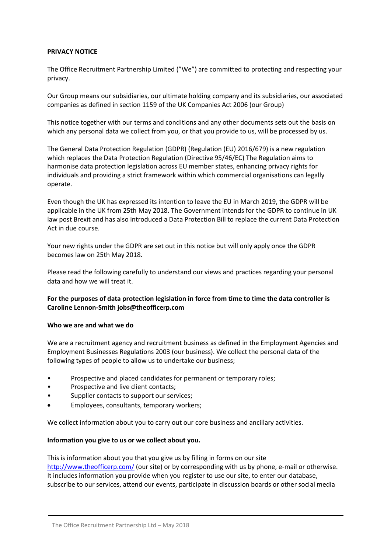#### **PRIVACY NOTICE**

The Office Recruitment Partnership Limited ("We") are committed to protecting and respecting your privacy.

Our Group means our subsidiaries, our ultimate holding company and its subsidiaries, our associated companies as defined in section 1159 of the UK Companies Act 2006 (our Group)

This notice together with our terms and conditions and any other documents sets out the basis on which any personal data we collect from you, or that you provide to us, will be processed by us.

The General Data Protection Regulation (GDPR) (Regulation (EU) 2016/679) is a new regulation which replaces the Data Protection Regulation (Directive 95/46/EC) The Regulation aims to harmonise data protection legislation across EU member states, enhancing privacy rights for individuals and providing a strict framework within which commercial organisations can legally operate.

Even though the UK has expressed its intention to leave the EU in March 2019, the GDPR will be applicable in the UK from 25th May 2018. The Government intends for the GDPR to continue in UK law post Brexit and has also introduced a Data Protection Bill to replace the current Data Protection Act in due course.

Your new rights under the GDPR are set out in this notice but will only apply once the GDPR becomes law on 25th May 2018.

Please read the following carefully to understand our views and practices regarding your personal data and how we will treat it.

# **For the purposes of data protection legislation in force from time to time the data controller is Caroline Lennon-Smith jobs@theofficerp.com**

#### **Who we are and what we do**

We are a recruitment agency and recruitment business as defined in the Employment Agencies and Employment Businesses Regulations 2003 (our business). We collect the personal data of the following types of people to allow us to undertake our business;

- Prospective and placed candidates for permanent or temporary roles;
- Prospective and live client contacts:
- Supplier contacts to support our services;
- Employees, consultants, temporary workers;

We collect information about you to carry out our core business and ancillary activities.

#### **Information you give to us or we collect about you.**

This is information about you that you give us by filling in forms on our site http://www.theofficerp.com/ (our site) or by corresponding with us by phone, e-mail or otherwise. It includes information you provide when you register to use our site, to enter our database, subscribe to our services, attend our events, participate in discussion boards or other social media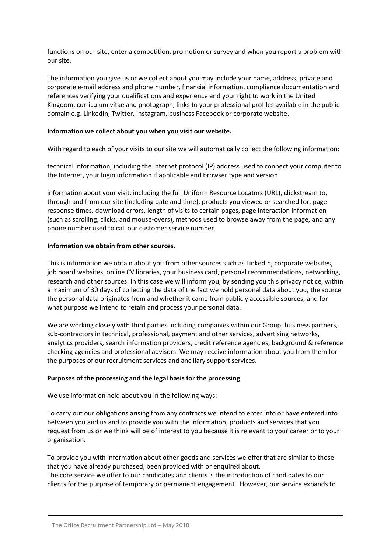functions on our site, enter a competition, promotion or survey and when you report a problem with our site.

The information you give us or we collect about you may include your name, address, private and corporate e-mail address and phone number, financial information, compliance documentation and references verifying your qualifications and experience and your right to work in the United Kingdom, curriculum vitae and photograph, links to your professional profiles available in the public domain e.g. LinkedIn, Twitter, Instagram, business Facebook or corporate website.

# **Information we collect about you when you visit our website.**

With regard to each of your visits to our site we will automatically collect the following information:

technical information, including the Internet protocol (IP) address used to connect your computer to the Internet, your login information if applicable and browser type and version

information about your visit, including the full Uniform Resource Locators (URL), clickstream to, through and from our site (including date and time), products you viewed or searched for, page response times, download errors, length of visits to certain pages, page interaction information (such as scrolling, clicks, and mouse-overs), methods used to browse away from the page, and any phone number used to call our customer service number.

# **Information we obtain from other sources.**

This is information we obtain about you from other sources such as LinkedIn, corporate websites, job board websites, online CV libraries, your business card, personal recommendations, networking, research and other sources. In this case we will inform you, by sending you this privacy notice, within a maximum of 30 days of collecting the data of the fact we hold personal data about you, the source the personal data originates from and whether it came from publicly accessible sources, and for what purpose we intend to retain and process your personal data.

We are working closely with third parties including companies within our Group, business partners, sub-contractors in technical, professional, payment and other services, advertising networks, analytics providers, search information providers, credit reference agencies, background & reference checking agencies and professional advisors. We may receive information about you from them for the purposes of our recruitment services and ancillary support services.

# **Purposes of the processing and the legal basis for the processing**

We use information held about you in the following ways:

To carry out our obligations arising from any contracts we intend to enter into or have entered into between you and us and to provide you with the information, products and services that you request from us or we think will be of interest to you because it is relevant to your career or to your organisation.

To provide you with information about other goods and services we offer that are similar to those that you have already purchased, been provided with or enquired about.

The core service we offer to our candidates and clients is the introduction of candidates to our clients for the purpose of temporary or permanent engagement. However, our service expands to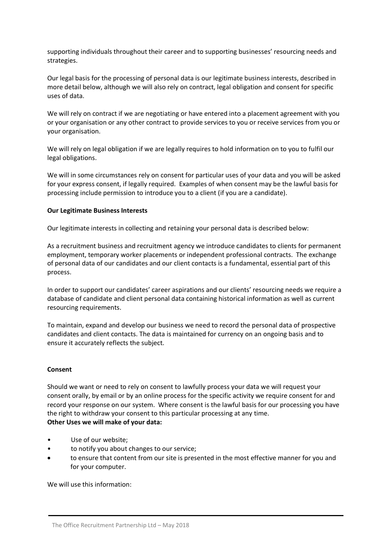supporting individuals throughout their career and to supporting businesses' resourcing needs and strategies.

Our legal basis for the processing of personal data is our legitimate business interests, described in more detail below, although we will also rely on contract, legal obligation and consent for specific uses of data.

We will rely on contract if we are negotiating or have entered into a placement agreement with you or your organisation or any other contract to provide services to you or receive services from you or your organisation.

We will rely on legal obligation if we are legally requires to hold information on to you to fulfil our legal obligations.

We will in some circumstances rely on consent for particular uses of your data and you will be asked for your express consent, if legally required. Examples of when consent may be the lawful basis for processing include permission to introduce you to a client (if you are a candidate).

# **Our Legitimate Business Interests**

Our legitimate interests in collecting and retaining your personal data is described below:

As a recruitment business and recruitment agency we introduce candidates to clients for permanent employment, temporary worker placements or independent professional contracts. The exchange of personal data of our candidates and our client contacts is a fundamental, essential part of this process.

In order to support our candidates' career aspirations and our clients' resourcing needs we require a database of candidate and client personal data containing historical information as well as current resourcing requirements.

To maintain, expand and develop our business we need to record the personal data of prospective candidates and client contacts. The data is maintained for currency on an ongoing basis and to ensure it accurately reflects the subject.

#### **Consent**

Should we want or need to rely on consent to lawfully process your data we will request your consent orally, by email or by an online process for the specific activity we require consent for and record your response on our system. Where consent is the lawful basis for our processing you have the right to withdraw your consent to this particular processing at any time. **Other Uses we will make of your data:**

- Use of our website;
- to notify you about changes to our service;
- to ensure that content from our site is presented in the most effective manner for you and for your computer.

We will use this information: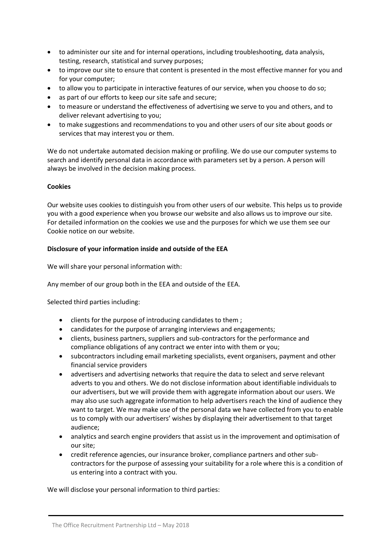- to administer our site and for internal operations, including troubleshooting, data analysis, testing, research, statistical and survey purposes;
- to improve our site to ensure that content is presented in the most effective manner for you and for your computer;
- to allow you to participate in interactive features of our service, when you choose to do so;
- as part of our efforts to keep our site safe and secure;
- to measure or understand the effectiveness of advertising we serve to you and others, and to deliver relevant advertising to you;
- to make suggestions and recommendations to you and other users of our site about goods or services that may interest you or them.

We do not undertake automated decision making or profiling. We do use our computer systems to search and identify personal data in accordance with parameters set by a person. A person will always be involved in the decision making process.

# **Cookies**

Our website uses cookies to distinguish you from other users of our website. This helps us to provide you with a good experience when you browse our website and also allows us to improve our site. For detailed information on the cookies we use and the purposes for which we use them see our Cookie notice on our website.

# **Disclosure of your information inside and outside of the EEA**

We will share your personal information with:

Any member of our group both in the EEA and outside of the EEA.

Selected third parties including:

- clients for the purpose of introducing candidates to them ;
- candidates for the purpose of arranging interviews and engagements;
- clients, business partners, suppliers and sub-contractors for the performance and compliance obligations of any contract we enter into with them or you;
- subcontractors including email marketing specialists, event organisers, payment and other financial service providers
- advertisers and advertising networks that require the data to select and serve relevant adverts to you and others. We do not disclose information about identifiable individuals to our advertisers, but we will provide them with aggregate information about our users. We may also use such aggregate information to help advertisers reach the kind of audience they want to target. We may make use of the personal data we have collected from you to enable us to comply with our advertisers' wishes by displaying their advertisement to that target audience;
- analytics and search engine providers that assist us in the improvement and optimisation of our site;
- credit reference agencies, our insurance broker, compliance partners and other subcontractors for the purpose of assessing your suitability for a role where this is a condition of us entering into a contract with you.

We will disclose your personal information to third parties: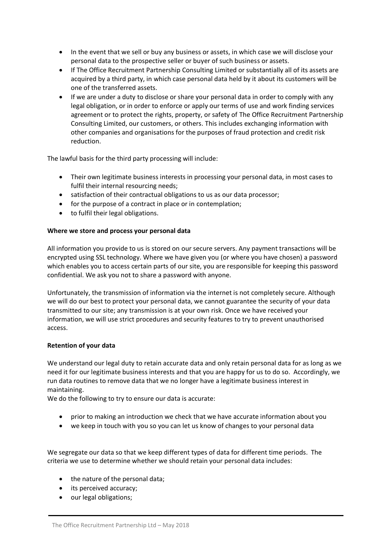- In the event that we sell or buy any business or assets, in which case we will disclose your personal data to the prospective seller or buyer of such business or assets.
- If The Office Recruitment Partnership Consulting Limited or substantially all of its assets are acquired by a third party, in which case personal data held by it about its customers will be one of the transferred assets.
- If we are under a duty to disclose or share your personal data in order to comply with any legal obligation, or in order to enforce or apply our terms of use and work finding services agreement or to protect the rights, property, or safety of The Office Recruitment Partnership Consulting Limited, our customers, or others. This includes exchanging information with other companies and organisations for the purposes of fraud protection and credit risk reduction.

The lawful basis for the third party processing will include:

- Their own legitimate business interests in processing your personal data, in most cases to fulfil their internal resourcing needs;
- satisfaction of their contractual obligations to us as our data processor;
- for the purpose of a contract in place or in contemplation;
- to fulfil their legal obligations.

# **Where we store and process your personal data**

All information you provide to us is stored on our secure servers. Any payment transactions will be encrypted using SSL technology. Where we have given you (or where you have chosen) a password which enables you to access certain parts of our site, you are responsible for keeping this password confidential. We ask you not to share a password with anyone.

Unfortunately, the transmission of information via the internet is not completely secure. Although we will do our best to protect your personal data, we cannot guarantee the security of your data transmitted to our site; any transmission is at your own risk. Once we have received your information, we will use strict procedures and security features to try to prevent unauthorised access.

# **Retention of your data**

We understand our legal duty to retain accurate data and only retain personal data for as long as we need it for our legitimate business interests and that you are happy for us to do so. Accordingly, we run data routines to remove data that we no longer have a legitimate business interest in maintaining.

We do the following to try to ensure our data is accurate:

- prior to making an introduction we check that we have accurate information about you
- we keep in touch with you so you can let us know of changes to your personal data

We segregate our data so that we keep different types of data for different time periods. The criteria we use to determine whether we should retain your personal data includes:

- the nature of the personal data;
- its perceived accuracy;
- our legal obligations;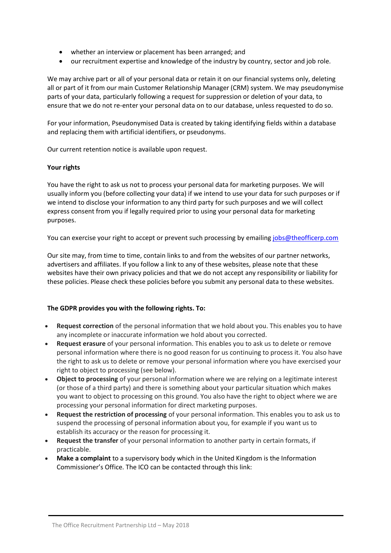- whether an interview or placement has been arranged; and
- our recruitment expertise and knowledge of the industry by country, sector and job role.

We may archive part or all of your personal data or retain it on our financial systems only, deleting all or part of it from our main Customer Relationship Manager (CRM) system. We may pseudonymise parts of your data, particularly following a request for suppression or deletion of your data, to ensure that we do not re-enter your personal data on to our database, unless requested to do so.

For your information, Pseudonymised Data is created by taking identifying fields within a database and replacing them with artificial identifiers, or pseudonyms.

Our current retention notice is available upon request.

# **Your rights**

You have the right to ask us not to process your personal data for marketing purposes. We will usually inform you (before collecting your data) if we intend to use your data for such purposes or if we intend to disclose your information to any third party for such purposes and we will collect express consent from you if legally required prior to using your personal data for marketing purposes.

You can exercise your right to accept or prevent such processing by emailin[g jobs@theofficerp.com](mailto:jobs@theofficerp.com)

Our site may, from time to time, contain links to and from the websites of our partner networks, advertisers and affiliates. If you follow a link to any of these websites, please note that these websites have their own privacy policies and that we do not accept any responsibility or liability for these policies. Please check these policies before you submit any personal data to these websites.

# **The GDPR provides you with the following rights. To:**

- **Request correction** of the personal information that we hold about you. This enables you to have any incomplete or inaccurate information we hold about you corrected.
- **Request erasure** of your personal information. This enables you to ask us to delete or remove personal information where there is no good reason for us continuing to process it. You also have the right to ask us to delete or remove your personal information where you have exercised your right to object to processing (see below).
- **Object to processing** of your personal information where we are relying on a legitimate interest (or those of a third party) and there is something about your particular situation which makes you want to object to processing on this ground. You also have the right to object where we are processing your personal information for direct marketing purposes.
- **Request the restriction of processing** of your personal information. This enables you to ask us to suspend the processing of personal information about you, for example if you want us to establish its accuracy or the reason for processing it.
- **Request the transfer** of your personal information to another party in certain formats, if practicable.
- **Make a complaint** to a supervisory body which in the United Kingdom is the Information Commissioner's Office. The ICO can be contacted through this link: